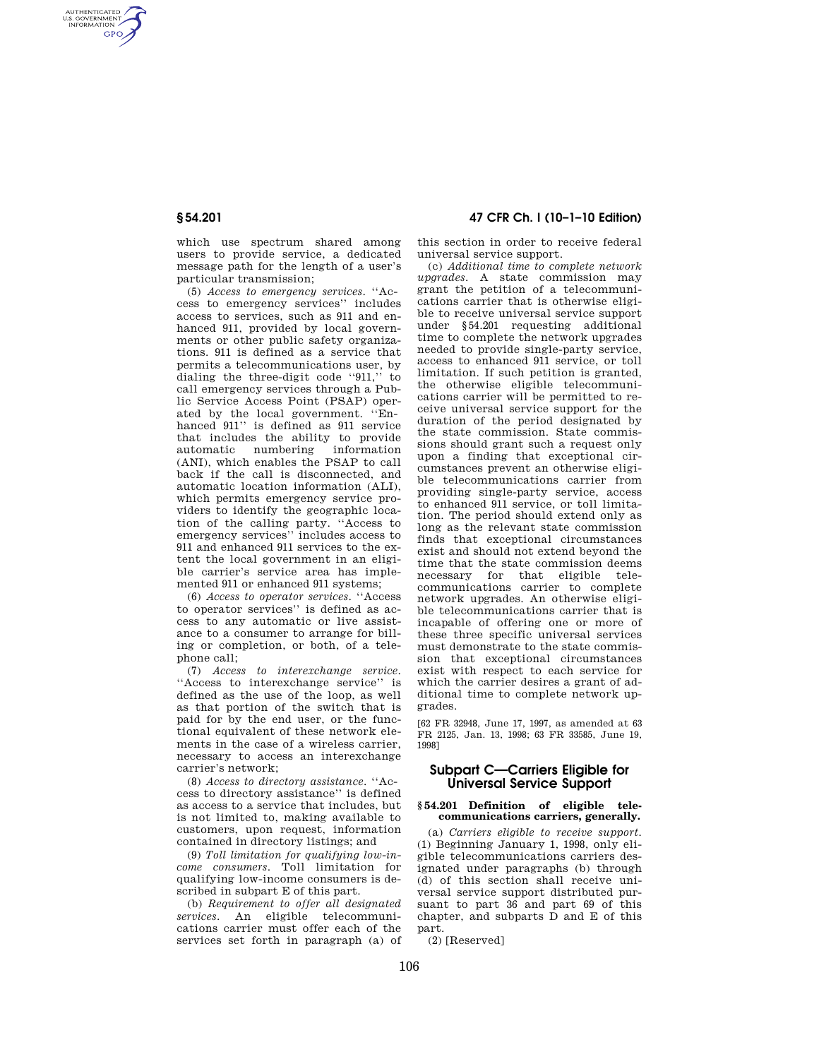AUTHENTICATED<br>U.S. GOVERNMENT<br>INFORMATION **GPO** 

> which use spectrum shared among users to provide service, a dedicated message path for the length of a user's particular transmission;

(5) *Access to emergency services*. ''Access to emergency services'' includes access to services, such as 911 and enhanced 911, provided by local governments or other public safety organizations. 911 is defined as a service that permits a telecommunications user, by dialing the three-digit code ''911,'' to call emergency services through a Public Service Access Point (PSAP) operated by the local government. ''Enhanced 911'' is defined as 911 service that includes the ability to provide automatic numbering information (ANI), which enables the PSAP to call back if the call is disconnected, and automatic location information (ALI), which permits emergency service providers to identify the geographic location of the calling party. ''Access to emergency services'' includes access to 911 and enhanced 911 services to the extent the local government in an eligible carrier's service area has implemented 911 or enhanced 911 systems;

(6) *Access to operator services*. ''Access to operator services'' is defined as access to any automatic or live assistance to a consumer to arrange for billing or completion, or both, of a telephone call;

(7) *Access to interexchange service*. ''Access to interexchange service'' is defined as the use of the loop, as well as that portion of the switch that is paid for by the end user, or the functional equivalent of these network elements in the case of a wireless carrier, necessary to access an interexchange carrier's network;

(8) *Access to directory assistance*. ''Access to directory assistance'' is defined as access to a service that includes, but is not limited to, making available to customers, upon request, information contained in directory listings; and

(9) *Toll limitation for qualifying low-income consumers*. Toll limitation for qualifying low-income consumers is described in subpart E of this part.

(b) *Requirement to offer all designated services*. An eligible telecommunications carrier must offer each of the services set forth in paragraph (a) of

**§ 54.201 47 CFR Ch. I (10–1–10 Edition)** 

this section in order to receive federal universal service support.

(c) *Additional time to complete network upgrades*. A state commission may grant the petition of a telecommunications carrier that is otherwise eligible to receive universal service support under §54.201 requesting additional time to complete the network upgrades needed to provide single-party service, access to enhanced 911 service, or toll limitation. If such petition is granted, the otherwise eligible telecommunications carrier will be permitted to receive universal service support for the duration of the period designated by the state commission. State commissions should grant such a request only upon a finding that exceptional circumstances prevent an otherwise eligible telecommunications carrier from providing single-party service, access to enhanced 911 service, or toll limitation. The period should extend only as long as the relevant state commission finds that exceptional circumstances exist and should not extend beyond the time that the state commission deems necessary for that eligible telecommunications carrier to complete network upgrades. An otherwise eligible telecommunications carrier that is incapable of offering one or more of these three specific universal services must demonstrate to the state commission that exceptional circumstances exist with respect to each service for which the carrier desires a grant of additional time to complete network upgrades.

[62 FR 32948, June 17, 1997, as amended at 63 FR 2125, Jan. 13, 1998; 63 FR 33585, June 19, 1998]

# **Subpart C—Carriers Eligible for Universal Service Support**

## **§ 54.201 Definition of eligible telecommunications carriers, generally.**

(a) *Carriers eligible to receive support.*  (1) Beginning January 1, 1998, only eligible telecommunications carriers designated under paragraphs (b) through (d) of this section shall receive universal service support distributed pursuant to part 36 and part 69 of this chapter, and subparts D and E of this part.

(2) [Reserved]